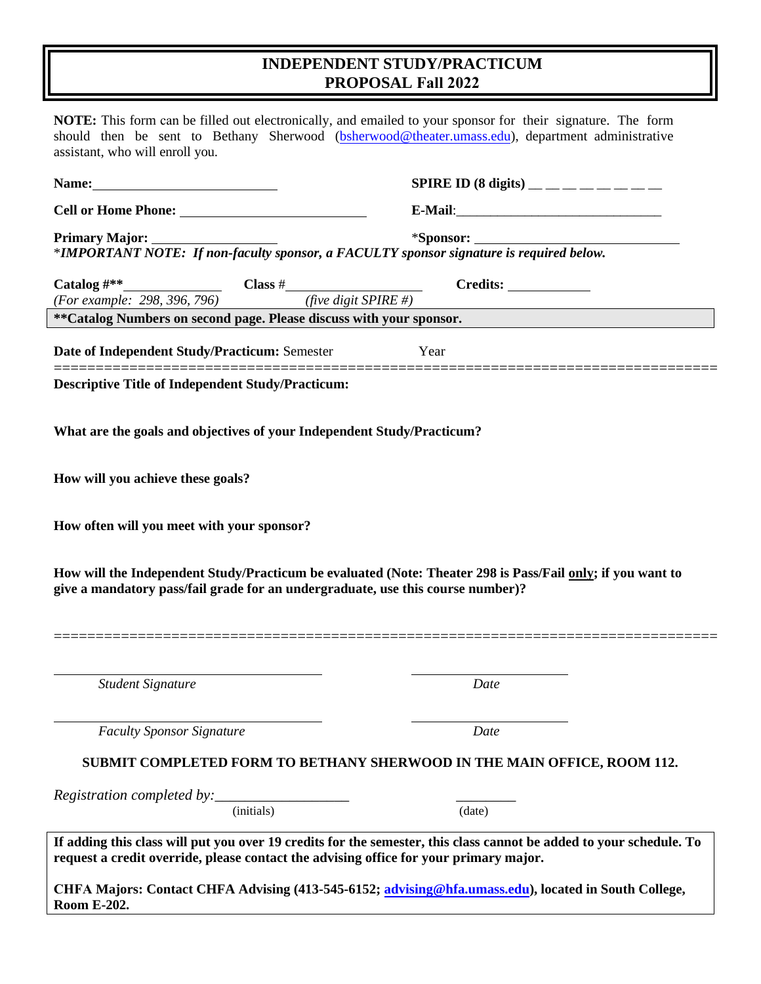## **INDEPENDENT STUDY/PRACTICUM PROPOSAL Fall 2022**

|                                                                                                                                                                    | SPIRE ID (8 digits) _________                                                                                                                                                                                                  |
|--------------------------------------------------------------------------------------------------------------------------------------------------------------------|--------------------------------------------------------------------------------------------------------------------------------------------------------------------------------------------------------------------------------|
|                                                                                                                                                                    |                                                                                                                                                                                                                                |
|                                                                                                                                                                    |                                                                                                                                                                                                                                |
|                                                                                                                                                                    |                                                                                                                                                                                                                                |
|                                                                                                                                                                    | Catalog #**<br>(For example: 298, 396, 796) Class # Credits: Credits: Credits: Credits: Credits: Credits: Credits: Credits: Credits: Credits: Credits: Credits: Credits: Credits: Credits: Credits: Credits: Credits: Credits: |
|                                                                                                                                                                    |                                                                                                                                                                                                                                |
| **Catalog Numbers on second page. Please discuss with your sponsor.                                                                                                |                                                                                                                                                                                                                                |
| Date of Independent Study/Practicum: Semester                                                                                                                      | Year                                                                                                                                                                                                                           |
| <b>Descriptive Title of Independent Study/Practicum:</b>                                                                                                           |                                                                                                                                                                                                                                |
|                                                                                                                                                                    |                                                                                                                                                                                                                                |
| What are the goals and objectives of your Independent Study/Practicum?                                                                                             |                                                                                                                                                                                                                                |
|                                                                                                                                                                    |                                                                                                                                                                                                                                |
|                                                                                                                                                                    |                                                                                                                                                                                                                                |
|                                                                                                                                                                    |                                                                                                                                                                                                                                |
|                                                                                                                                                                    |                                                                                                                                                                                                                                |
|                                                                                                                                                                    |                                                                                                                                                                                                                                |
|                                                                                                                                                                    |                                                                                                                                                                                                                                |
|                                                                                                                                                                    |                                                                                                                                                                                                                                |
|                                                                                                                                                                    |                                                                                                                                                                                                                                |
|                                                                                                                                                                    | How will the Independent Study/Practicum be evaluated (Note: Theater 298 is Pass/Fail only; if you want to                                                                                                                     |
|                                                                                                                                                                    |                                                                                                                                                                                                                                |
|                                                                                                                                                                    |                                                                                                                                                                                                                                |
|                                                                                                                                                                    |                                                                                                                                                                                                                                |
|                                                                                                                                                                    |                                                                                                                                                                                                                                |
| <b>Student Signature</b>                                                                                                                                           | Date                                                                                                                                                                                                                           |
| How will you achieve these goals?<br>How often will you meet with your sponsor?<br>give a mandatory pass/fail grade for an undergraduate, use this course number)? |                                                                                                                                                                                                                                |
| <b>Faculty Sponsor Signature</b>                                                                                                                                   | Date                                                                                                                                                                                                                           |
|                                                                                                                                                                    |                                                                                                                                                                                                                                |
|                                                                                                                                                                    | SUBMIT COMPLETED FORM TO BETHANY SHERWOOD IN THE MAIN OFFICE, ROOM 112.                                                                                                                                                        |
|                                                                                                                                                                    |                                                                                                                                                                                                                                |

**CHFA Majors: Contact CHFA Advising (413-545-6152; [advising@hfa.umass.edu\),](mailto:advising@hfa.umass.edu) located in South College, Room E-202.**